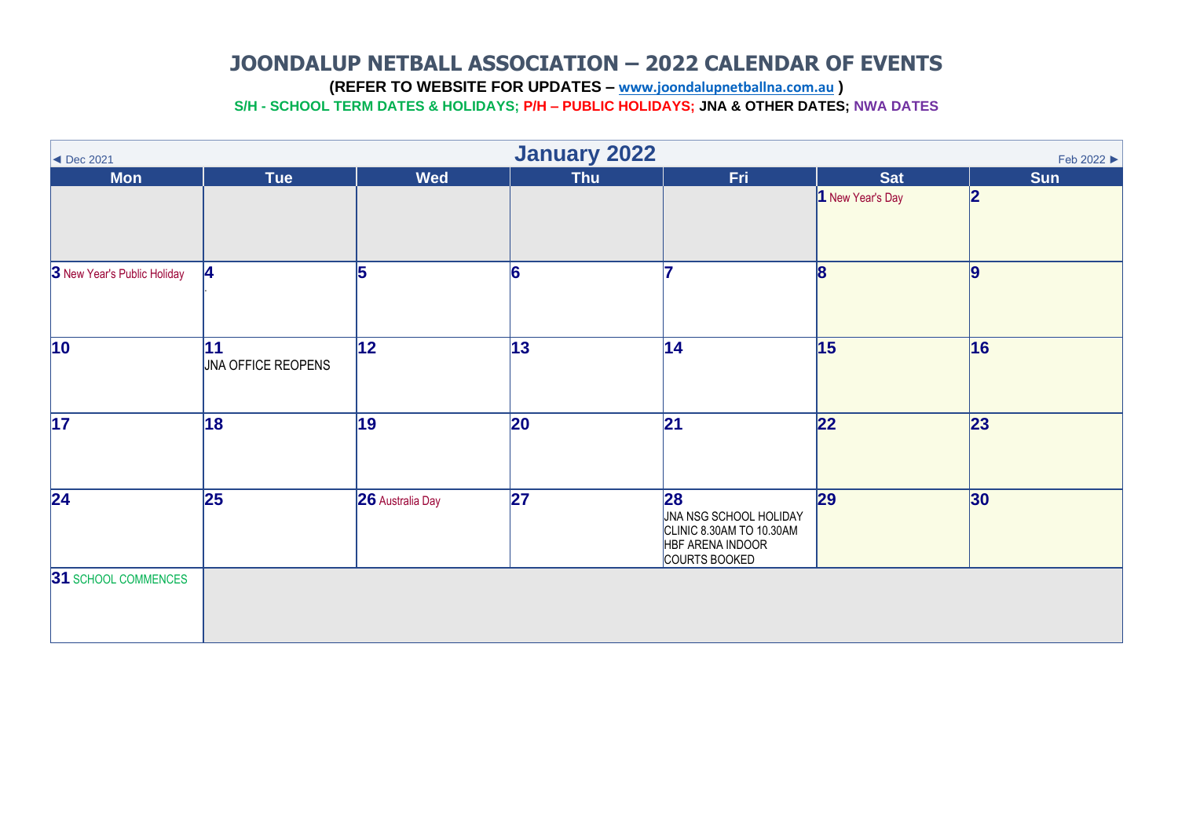**(REFER TO WEBSITE FOR UPDATES – [www.joondalupnetballna.com.au](http://www.joondalupnetballna.com.au/) )**

<span id="page-0-0"></span>

| $\blacktriangleleft$ Dec 2021 | <b>January 2022</b><br>Feb 2022 ▶ |                         |            |                                                                                                |                  |            |  |  |  |  |
|-------------------------------|-----------------------------------|-------------------------|------------|------------------------------------------------------------------------------------------------|------------------|------------|--|--|--|--|
| <b>Mon</b>                    | <b>Tue</b>                        | <b>Wed</b>              | <b>Thu</b> | Fri.                                                                                           | <b>Sat</b>       | <b>Sun</b> |  |  |  |  |
|                               |                                   |                         |            |                                                                                                | 1 New Year's Day | 2          |  |  |  |  |
| 3 New Year's Public Holiday   | 14                                | 5                       | 6          |                                                                                                | 18               | 9          |  |  |  |  |
| $\overline{10}$               | 11<br>JNA OFFICE REOPENS          | 12                      | 13         | 14                                                                                             | 15               | 16         |  |  |  |  |
| $\overline{17}$               | 18                                | 19                      | 20         | 21                                                                                             | $\overline{22}$  | 23         |  |  |  |  |
| $\overline{24}$               | 25                                | <b>26</b> Australia Day | 27         | 28 <br>JNA NSG SCHOOL HOLIDAY<br>CLINIC 8.30AM TO 10.30AM<br>HBF ARENA INDOOR<br>COURTS BOOKED | 29               | 30         |  |  |  |  |
| 31 SCHOOL COMMENCES           |                                   |                         |            |                                                                                                |                  |            |  |  |  |  |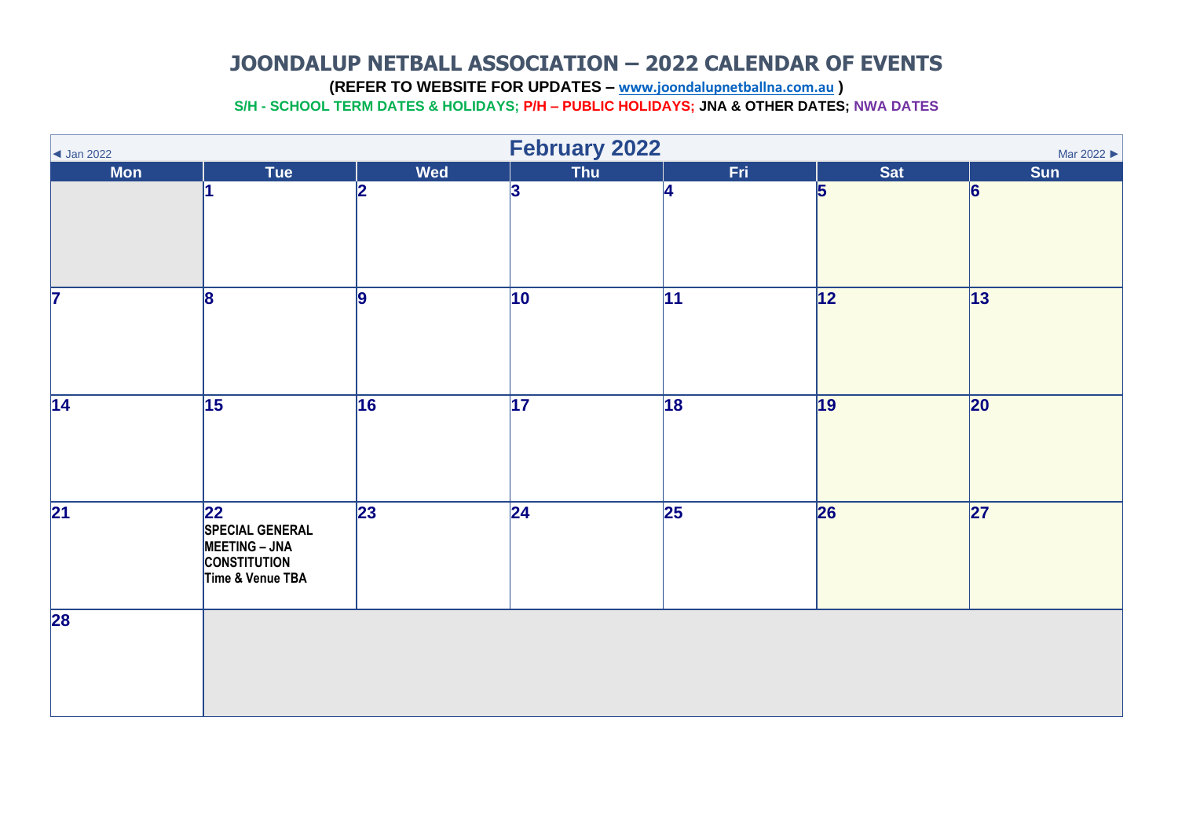<span id="page-1-0"></span>**(REFER TO WEBSITE FOR UPDATES – [www.joondalupnetballna.com.au](http://www.joondalupnetballna.com.au/) )**

| $\vert$ Jan 2022        | February 2022<br>Mar 2022                                                                        |                 |                 |                          |                 |                 |  |  |  |
|-------------------------|--------------------------------------------------------------------------------------------------|-----------------|-----------------|--------------------------|-----------------|-----------------|--|--|--|
| <b>Mon</b>              | Tue                                                                                              | <b>Wed</b>      | Thu             | Fri.                     | <b>Sat</b>      | Sun             |  |  |  |
|                         |                                                                                                  | 2               | 3               | 14                       | 5               | 6               |  |  |  |
| $\overline{\mathbf{7}}$ | 8                                                                                                | 9               | $ 10\rangle$    | 11                       | 12              | 13              |  |  |  |
| $\overline{14}$         | $\overline{15}$                                                                                  | $\overline{16}$ | $\overline{17}$ | 18                       | $\overline{19}$ | $ 20\rangle$    |  |  |  |
| $\overline{21}$         | 22 <br><b>SPECIAL GENERAL</b><br><b>MEETING - JNA</b><br><b>CONSTITUTION</b><br>Time & Venue TBA | $\overline{23}$ | $\overline{24}$ | $\overline{\mathbf{25}}$ | 26              | $\overline{27}$ |  |  |  |
| 28                      |                                                                                                  |                 |                 |                          |                 |                 |  |  |  |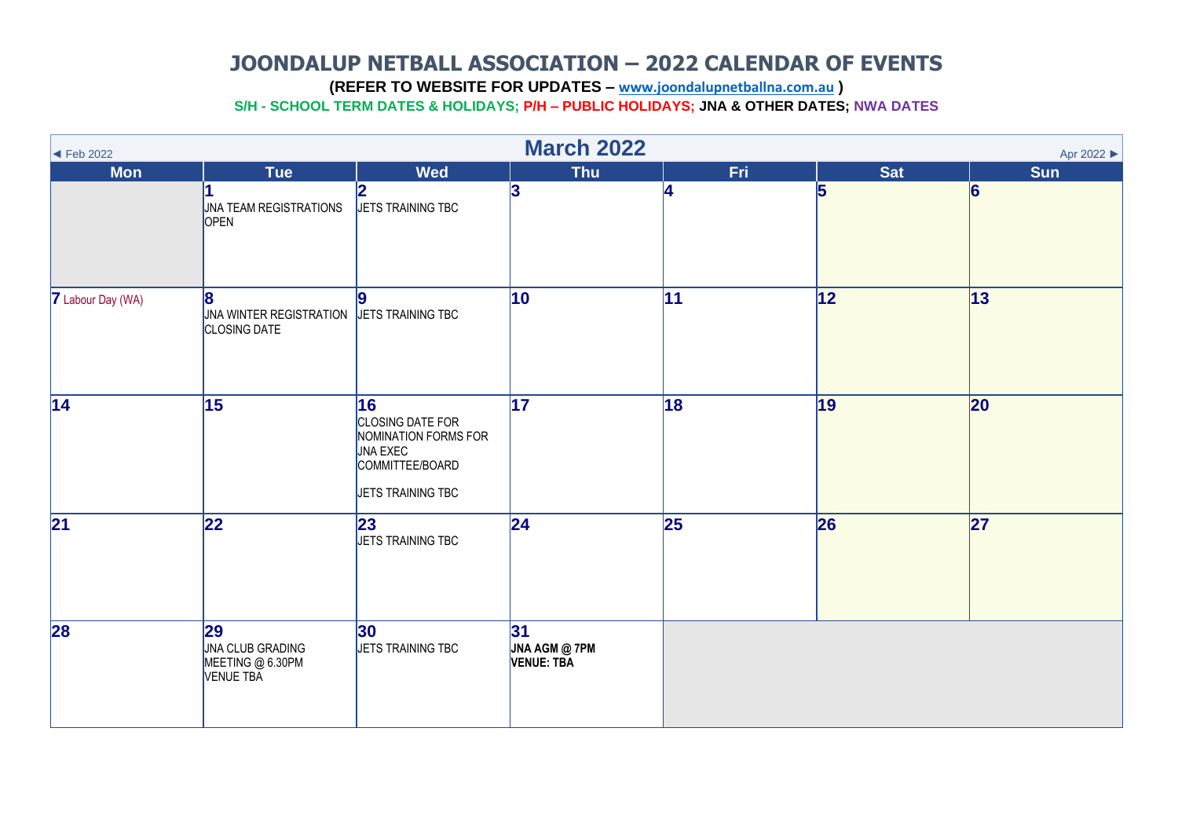<span id="page-2-0"></span>**(REFER TO WEBSITE FOR UPDATES – [www.joondalupnetballna.com.au](http://www.joondalupnetballna.com.au/) )**

| $\blacktriangleleft$ Feb 2022 | <b>March 2022</b><br>Apr 2022                                                      |                                                                                                           |                                           |                 |            |                |  |  |  |
|-------------------------------|------------------------------------------------------------------------------------|-----------------------------------------------------------------------------------------------------------|-------------------------------------------|-----------------|------------|----------------|--|--|--|
| <b>Mon</b>                    | <b>Tue</b>                                                                         | <b>Wed</b>                                                                                                | <b>Thu</b>                                | Fri.            | <b>Sat</b> | <b>Sun</b>     |  |  |  |
|                               | <b>JNA TEAM REGISTRATIONS</b><br>OPEN                                              | 12<br>JETS TRAINING TBC                                                                                   | 3                                         | <b>A</b>        | 5          | $\overline{6}$ |  |  |  |
| <b>7</b> Labour Day (WA)      | 8<br><b>JNA WINTER REGISTRATION</b><br><b>CLOSING DATE</b>                         | $\overline{9}$<br>JETS TRAINING TBC                                                                       | $ 10\rangle$                              | 11              | 12         | $ 13\rangle$   |  |  |  |
| $\overline{14}$               | 15                                                                                 | 16<br>CLOSING DATE FOR<br>NOMINATION FORMS FOR<br><b>JNA EXEC</b><br>COMMITTEE/BOARD<br>JETS TRAINING TBC | 17                                        | 18              | 19         | 20             |  |  |  |
| $\overline{21}$               | $\overline{22}$                                                                    | 23 <br><b>JETS TRAINING TBC</b>                                                                           | 24                                        | $\overline{25}$ | 26         | 27             |  |  |  |
| 28                            | $\overline{29}$<br><b>JNA CLUB GRADING</b><br>MEETING @ 6.30PM<br><b>VENUE TBA</b> | 30 <br>JETS TRAINING TBC                                                                                  | 31 <br><b>JNA AGM @ 7PM</b><br>VENUE: TBA |                 |            |                |  |  |  |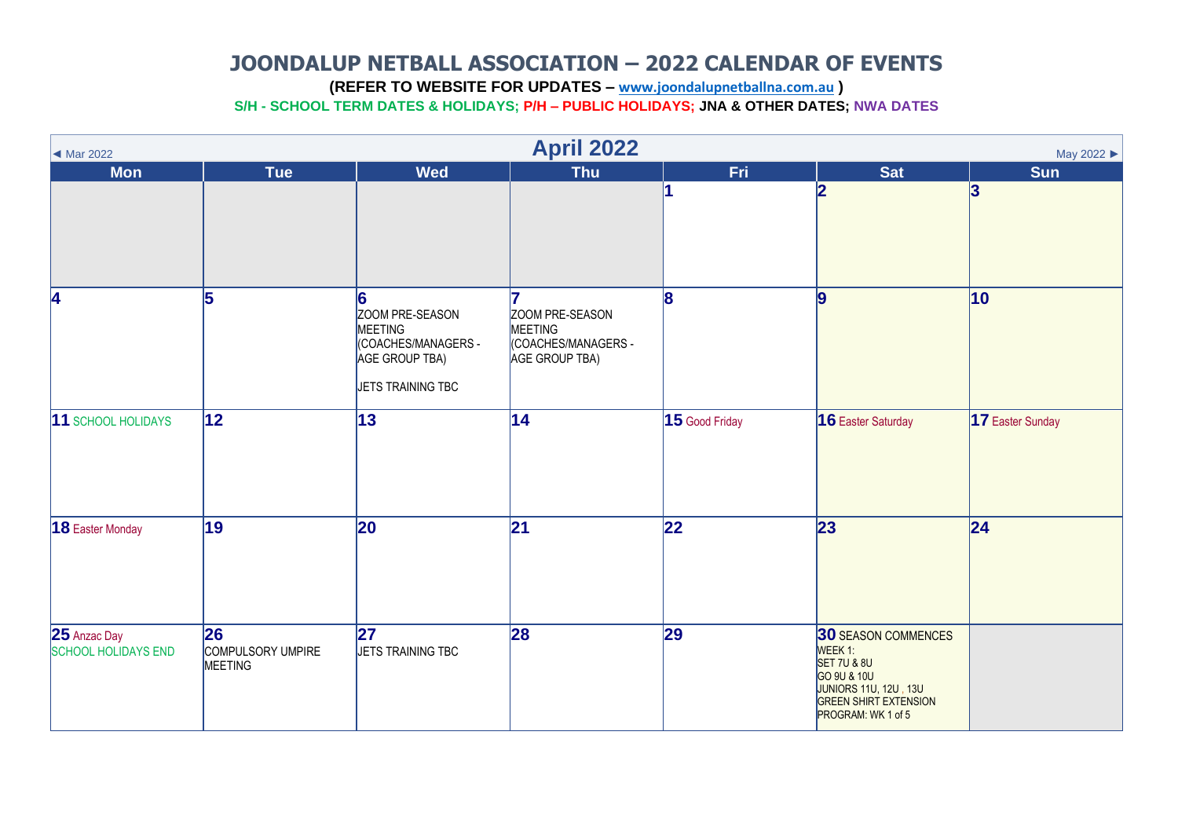<span id="page-3-0"></span>**(REFER TO WEBSITE FOR UPDATES – [www.joondalupnetballna.com.au](http://www.joondalupnetballna.com.au/) )**

| Mar 2022                                   |                                    |                                                                                               | <b>April 2022</b>                                                         |                 |                                                                                                                                                                      | May 2022         |
|--------------------------------------------|------------------------------------|-----------------------------------------------------------------------------------------------|---------------------------------------------------------------------------|-----------------|----------------------------------------------------------------------------------------------------------------------------------------------------------------------|------------------|
| <b>Mon</b>                                 | <b>Tue</b>                         | <b>Wed</b>                                                                                    | Thu                                                                       | <b>Fri</b>      | <b>Sat</b><br>2                                                                                                                                                      | <b>Sun</b><br>3  |
| 4                                          | 5                                  | 6<br>ZOOM PRE-SEASON<br>MEETING<br>(COACHES/MANAGERS -<br>AGE GROUP TBA)<br>JETS TRAINING TBC | 17<br>ZOOM PRE-SEASON<br>MEETING<br>(COACHES/MANAGERS -<br>AGE GROUP TBA) | 8               | 9                                                                                                                                                                    | $ 10\rangle$     |
| 11 SCHOOL HOLIDAYS                         | $\overline{12}$                    | $\overline{13}$                                                                               | 14                                                                        | 15 Good Friday  | 16 Easter Saturday                                                                                                                                                   | 17 Easter Sunday |
| 18 Easter Monday                           | $\overline{19}$                    | 20                                                                                            | 21                                                                        | $\overline{22}$ | 23                                                                                                                                                                   | 24               |
| 25 Anzac Day<br><b>SCHOOL HOLIDAYS END</b> | 26<br>COMPULSORY UMPIRE<br>MEETING | 27 <br>JETS TRAINING TBC                                                                      | 28                                                                        | 29              | <b>30 SEASON COMMENCES</b><br>WEEK 1:<br><b>SET 7U &amp; 8U</b><br>GO 9U & 10U<br><b>JUNIORS 11U, 12U, 13U</b><br><b>GREEN SHIRT EXTENSION</b><br>PROGRAM: WK 1 of 5 |                  |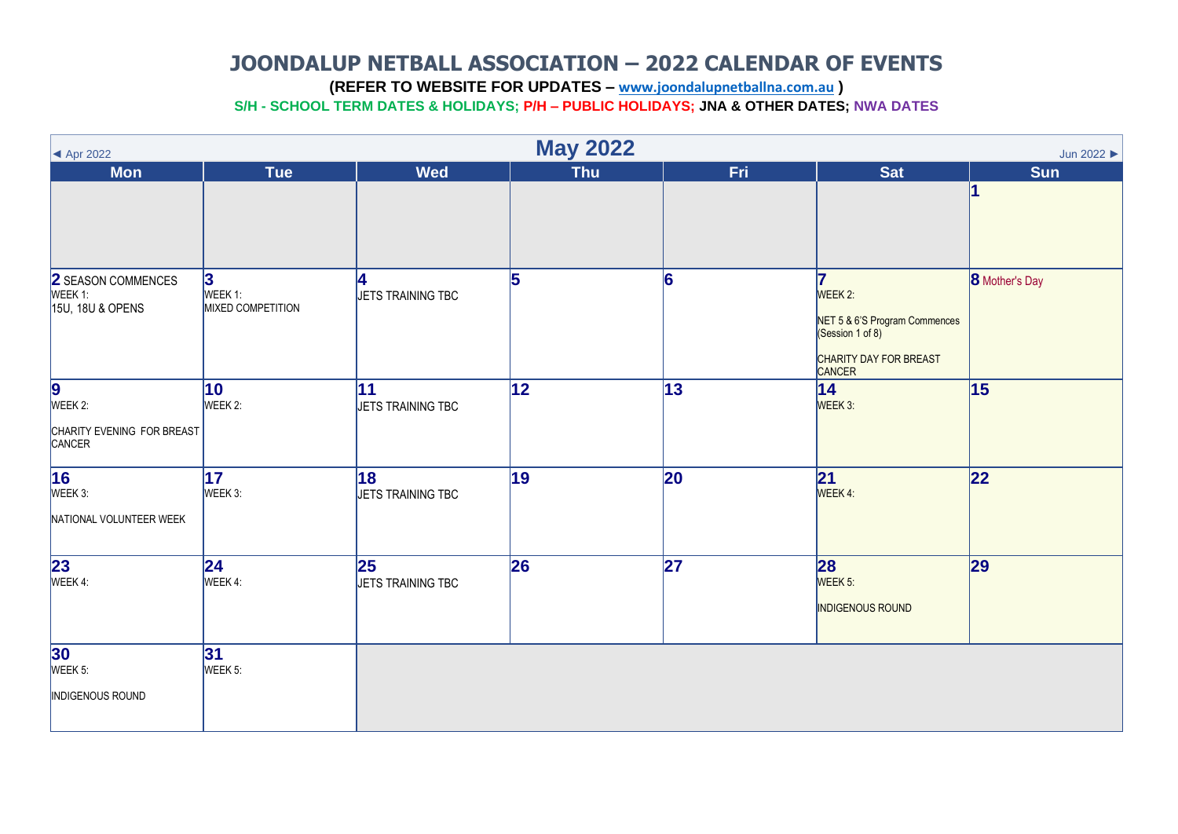<span id="page-4-0"></span>**(REFER TO WEBSITE FOR UPDATES – [www.joondalupnetballna.com.au](http://www.joondalupnetballna.com.au/) )**

| $\blacktriangleleft$ Apr 2022                               | <b>May 2022</b><br>Jun 2022              |                          |            |     |                                                                                                       |                       |  |  |  |
|-------------------------------------------------------------|------------------------------------------|--------------------------|------------|-----|-------------------------------------------------------------------------------------------------------|-----------------------|--|--|--|
| <b>Mon</b>                                                  | <b>Tue</b>                               | <b>Wed</b>               | <b>Thu</b> | Fri | <b>Sat</b>                                                                                            | <b>Sun</b>            |  |  |  |
|                                                             |                                          |                          |            |     |                                                                                                       |                       |  |  |  |
| 2 SEASON COMMENCES<br>WEEK 1:<br>15U, 18U & OPENS           | 3<br>WEEK 1:<br><b>MIXED COMPETITION</b> | Ι4.<br>JETS TRAINING TBC | 5          | 6   | 7<br>WEEK 2:<br>NET 5 & 6'S Program Commences<br>(Session 1 of 8)<br>CHARITY DAY FOR BREAST<br>CANCER | <b>8</b> Mother's Day |  |  |  |
| <b>9</b><br>WEEK 2:<br>CHARITY EVENING FOR BREAST<br>CANCER | 10 <sub>1</sub><br>WEEK 2:               | 11<br>JETS TRAINING TBC  | 12         | 13  | 14 <br>WEEK 3:                                                                                        | 15                    |  |  |  |
| $\overline{16}$<br>WEEK 3:<br>NATIONAL VOLUNTEER WEEK       | $\overline{17}$<br>WEEK 3:               | 18<br>JETS TRAINING TBC  | 19         | 20  | 21<br>WEEK 4:                                                                                         | 22                    |  |  |  |
| <b>23</b><br>WEEK 4:                                        | 24 <br>WEEK 4:                           | 25<br>JETS TRAINING TBC  | 26         | 27  | 28<br>WEEK 5:<br><b>INDIGENOUS ROUND</b>                                                              | 29                    |  |  |  |
| <b>30</b><br>WEEK 5:<br>INDIGENOUS ROUND                    | 31 <br>WEEK 5:                           |                          |            |     |                                                                                                       |                       |  |  |  |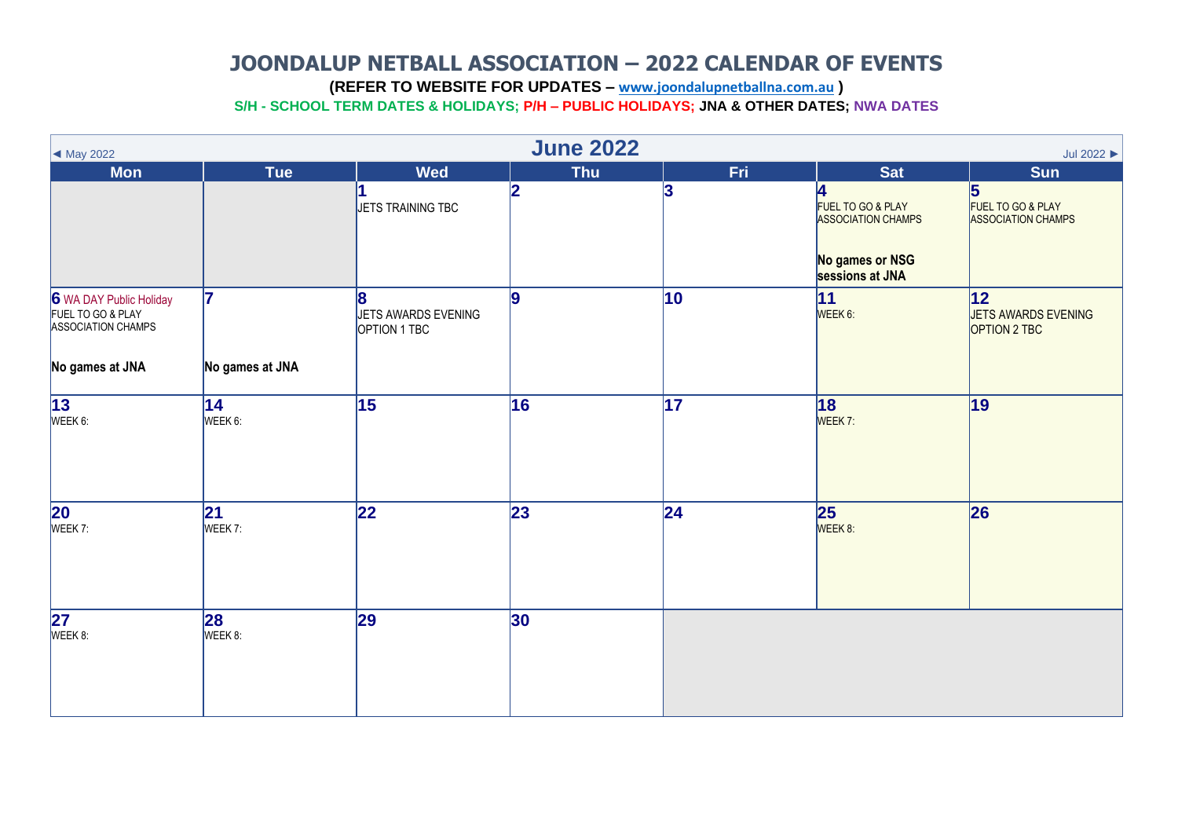<span id="page-5-0"></span>**(REFER TO WEBSITE FOR UPDATES – [www.joondalupnetballna.com.au](http://www.joondalupnetballna.com.au/) )**

| ◀ May 2022                                                         | <b>June 2022</b><br>Jul 2022 $\blacktriangleright$ |                                     |            |                 |                                                     |                                                     |  |  |  |
|--------------------------------------------------------------------|----------------------------------------------------|-------------------------------------|------------|-----------------|-----------------------------------------------------|-----------------------------------------------------|--|--|--|
| <b>Mon</b>                                                         | Tue                                                | <b>Wed</b>                          | <b>Thu</b> | Fri             | <b>Sat</b>                                          | <b>Sun</b>                                          |  |  |  |
|                                                                    |                                                    | JETS TRAINING TBC                   | 2          | 3               | 4<br>FUEL TO GO & PLAY<br><b>ASSOCIATION CHAMPS</b> | 5<br>FUEL TO GO & PLAY<br><b>ASSOCIATION CHAMPS</b> |  |  |  |
|                                                                    |                                                    |                                     |            |                 | No games or NSG<br>sessions at JNA                  |                                                     |  |  |  |
| 6 WA DAY Public Holiday<br>FUEL TO GO & PLAY<br>ASSOCIATION CHAMPS | 17                                                 | JETS AWARDS EVENING<br>OPTION 1 TBC | 9          | 10              | 11<br>WEEK 6:                                       | 12 <br>JETS AWARDS EVENING<br>OPTION 2 TBC          |  |  |  |
| No games at JNA                                                    | No games at JNA                                    |                                     |            |                 |                                                     |                                                     |  |  |  |
| $\overline{13}$<br>WEEK 6:                                         | $ 14\rangle$<br>WEEK 6:                            | $\overline{15}$                     | 16         | $\overline{17}$ | 18 <br>WEEK 7:                                      | 19                                                  |  |  |  |
| $\overline{20}$<br>WEEK 7:                                         | 21 <br>WEEK 7:                                     | 22                                  | 23         | 24              | 25<br>WEEK 8:                                       | 26                                                  |  |  |  |
| $\overline{27}$<br>WEEK 8:                                         | 28<br>WEEK 8:                                      | 29                                  | 30         |                 |                                                     |                                                     |  |  |  |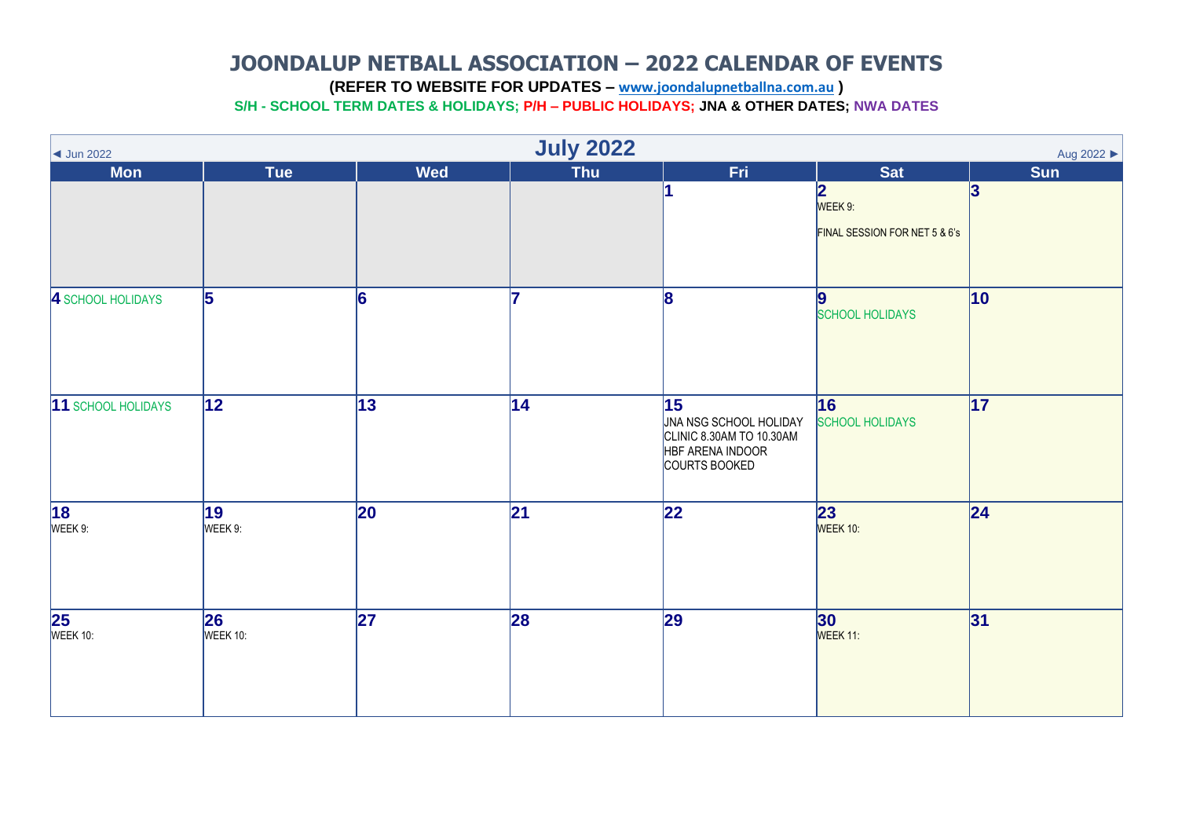<span id="page-6-0"></span>**(REFER TO WEBSITE FOR UPDATES – [www.joondalupnetballna.com.au](http://www.joondalupnetballna.com.au/) )**

| <b>July 2022</b><br>Aug 2022 ▶<br>$\vert$ Jun 2022 |                 |              |                 |                                                                                               |                                                                     |                 |  |  |
|----------------------------------------------------|-----------------|--------------|-----------------|-----------------------------------------------------------------------------------------------|---------------------------------------------------------------------|-----------------|--|--|
| <b>Mon</b>                                         | <b>Tue</b>      | <b>Wed</b>   | <b>Thu</b>      | Fri                                                                                           | <b>Sat</b>                                                          | <b>Sun</b>      |  |  |
|                                                    |                 |              |                 |                                                                                               | $\overline{\mathbf{2}}$<br>WEEK 9:<br>FINAL SESSION FOR NET 5 & 6's | 3               |  |  |
| 4 SCHOOL HOLIDAYS                                  | 5               | 6            | 17              | 8                                                                                             | $\boldsymbol{9}$<br><b>SCHOOL HOLIDAYS</b>                          | $ 10\rangle$    |  |  |
| 11 SCHOOL HOLIDAYS                                 | $\overline{12}$ | 13           | 14              | 15<br>JNA NSG SCHOOL HOLIDAY<br>CLINIC 8.30AM TO 10.30AM<br>HBF ARENA INDOOR<br>COURTS BOOKED | 16<br><b>SCHOOL HOLIDAYS</b>                                        | $\overline{17}$ |  |  |
| $\overline{18}$<br>WEEK 9:                         | 19<br>WEEK 9:   | $ 20\rangle$ | $\overline{21}$ | $\overline{22}$                                                                               | 23<br>WEEK 10:                                                      | 24              |  |  |
| <b>25</b><br>WEEK 10:                              | 26 <br>WEEK 10: | 27           | 28              | 29                                                                                            | 30<br>WEEK 11:                                                      | 31              |  |  |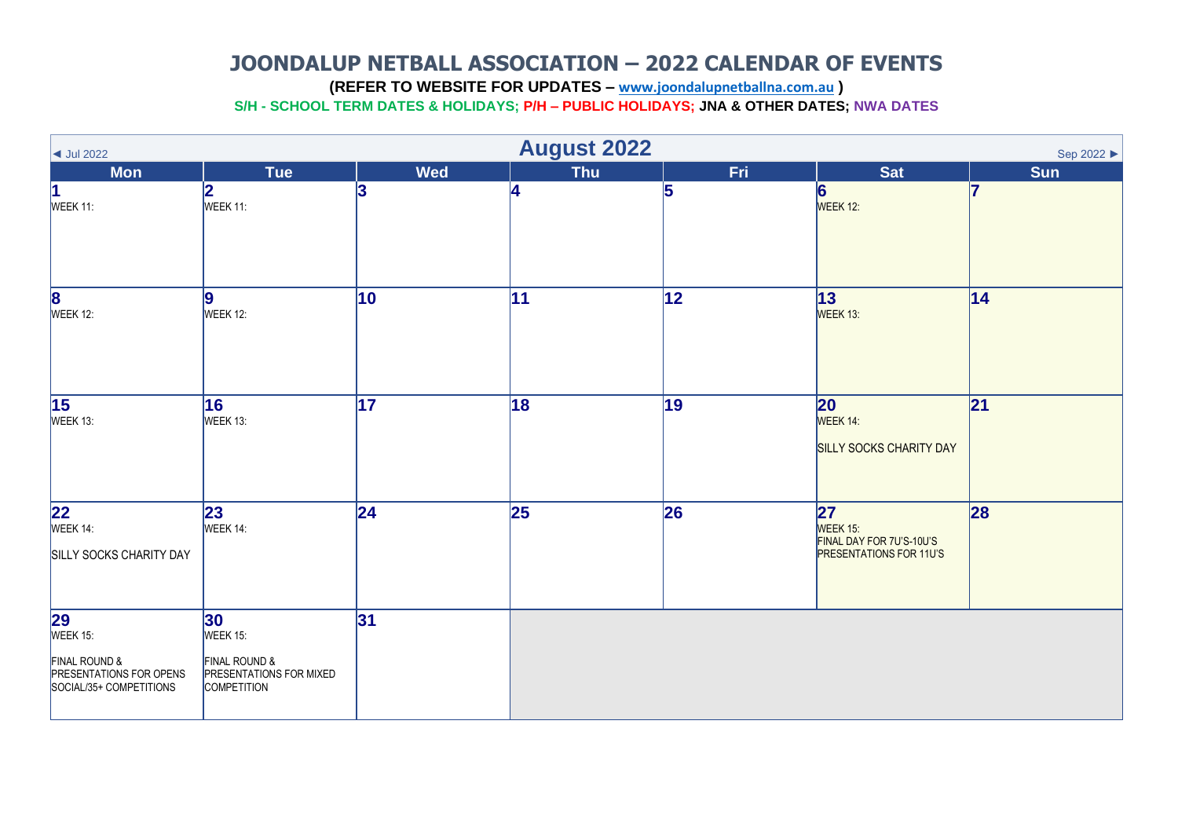<span id="page-7-0"></span>**(REFER TO WEBSITE FOR UPDATES – [www.joondalupnetballna.com.au](http://www.joondalupnetballna.com.au/) )**

| $\vert$ Jul 2022                                                                                    | <b>August 2022</b><br>Sep 2022 ▶                                                         |                 |            |     |                                                                              |                 |  |  |  |
|-----------------------------------------------------------------------------------------------------|------------------------------------------------------------------------------------------|-----------------|------------|-----|------------------------------------------------------------------------------|-----------------|--|--|--|
| <b>Mon</b>                                                                                          | <b>Tue</b>                                                                               | <b>Wed</b>      | <b>Thu</b> | Fri | <b>Sat</b>                                                                   | <b>Sun</b>      |  |  |  |
| 1<br>WEEK 11:                                                                                       | 2<br>WEEK 11:                                                                            | 13              | 4          | 5   | 6<br>WEEK 12:                                                                |                 |  |  |  |
| <b>8</b><br>WEEK 12:                                                                                | 9 <br>WEEK 12:                                                                           | $\vert$ 10      | 11         | 12  | 13 <br>WEEK 13:                                                              | 14              |  |  |  |
| $\overline{15}$<br>WEEK 13:                                                                         | 16<br>WEEK 13:                                                                           | $\overline{17}$ | 18         | 19  | $ 20\rangle$<br>WEEK 14:<br>SILLY SOCKS CHARITY DAY                          | $\overline{21}$ |  |  |  |
| <b>22</b><br>WEEK 14:<br>SILLY SOCKS CHARITY DAY                                                    | 23<br>WEEK 14:                                                                           | $\overline{24}$ | 25         | 26  | 27<br>WEEK 15:<br>FINAL DAY FOR 7U'S-10U'S<br><b>PRESENTATIONS FOR 11U'S</b> | 28              |  |  |  |
| <b>29</b><br>WEEK 15:<br>FINAL ROUND &<br><b>PRESENTATIONS FOR OPENS</b><br>SOCIAL/35+ COMPETITIONS | 30 <br>WEEK 15:<br>FINAL ROUND &<br><b>PRESENTATIONS FOR MIXED</b><br><b>COMPETITION</b> | 31              |            |     |                                                                              |                 |  |  |  |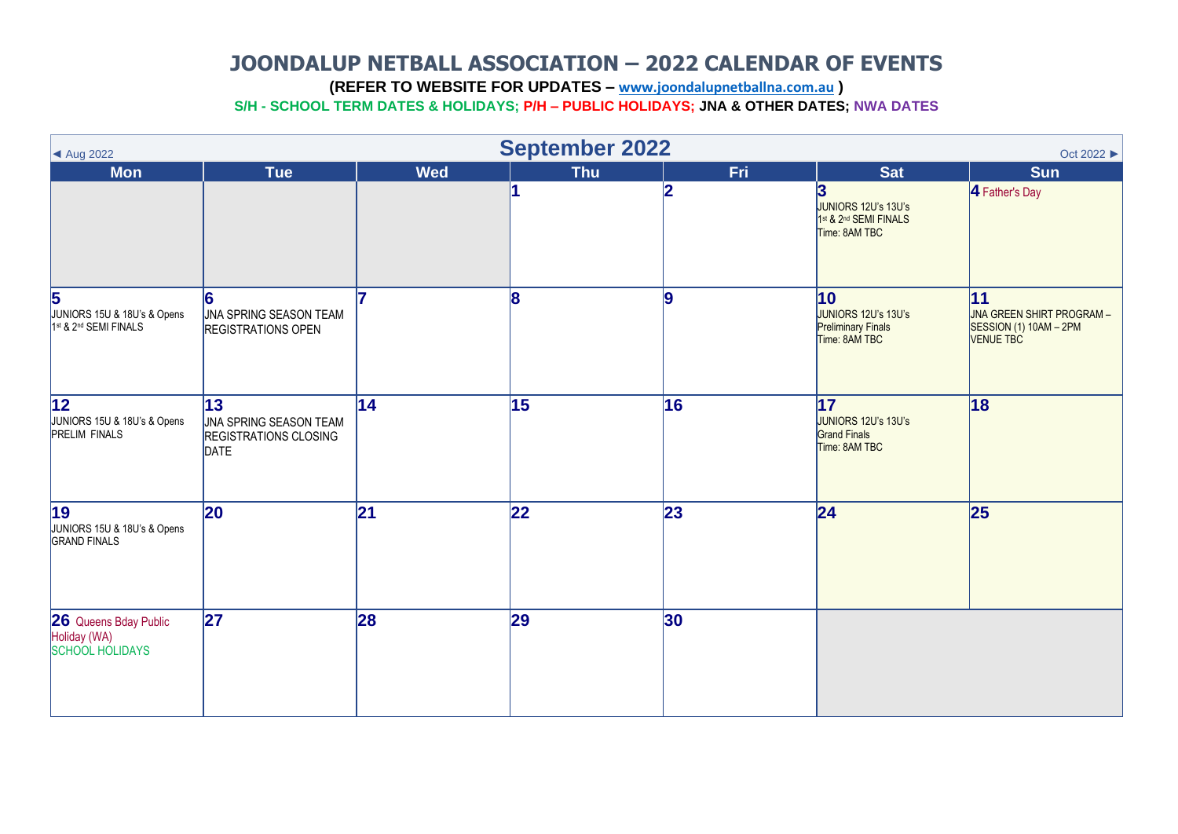<span id="page-8-0"></span>**(REFER TO WEBSITE FOR UPDATES – [www.joondalupnetballna.com.au](http://www.joondalupnetballna.com.au/) )**

| ▲ Aug 2022                                                                      |                                                                                    |            | <b>September 2022</b> |     |                                                                                | Oct 2022 ▶                                                                    |
|---------------------------------------------------------------------------------|------------------------------------------------------------------------------------|------------|-----------------------|-----|--------------------------------------------------------------------------------|-------------------------------------------------------------------------------|
| <b>Mon</b>                                                                      | <b>Tue</b>                                                                         | <b>Wed</b> | <b>Thu</b>            | Fri | <b>Sat</b>                                                                     | <b>Sun</b>                                                                    |
|                                                                                 |                                                                                    |            |                       | 2   | 3<br>JUNIORS 12U's 13U's<br>1st & 2nd SEMI FINALS<br>Time: 8AM TBC             | 4 Father's Day                                                                |
| $\overline{\mathbf{5}}$<br>JUNIORS 15U & 18U's & Opens<br>1st & 2nd SEMI FINALS | 6<br><b>JNA SPRING SEASON TEAM</b><br><b>REGISTRATIONS OPEN</b>                    |            | 8                     | l9  | 10<br>JUNIORS 12U's 13U's<br><b>Preliminary Finals</b><br>Time: 8AM TBC        | 11<br>JNA GREEN SHIRT PROGRAM -<br>SESSION (1) 10AM - 2PM<br><b>VENUE TBC</b> |
| $\overline{12}$<br>JUNIORS 15U & 18U's & Opens<br>PRELIM FINALS                 | 13<br><b>JNA SPRING SEASON TEAM</b><br><b>REGISTRATIONS CLOSING</b><br><b>DATE</b> | 14         | 15                    | 16  | $\overline{17}$<br>JUNIORS 12U's 13U's<br><b>Grand Finals</b><br>Time: 8AM TBC | 18                                                                            |
| $\overline{19}$<br>JUNIORS 15U & 18U's & Opens<br>GRAND FINALS                  | <b>20</b>                                                                          | 21         | 22                    | 23  | 24                                                                             | 25                                                                            |
| 26 Queens Bday Public<br>Holiday (WA)<br>SCHOOL HOLIDAYS                        | 27                                                                                 | 28         | 29                    | 30  |                                                                                |                                                                               |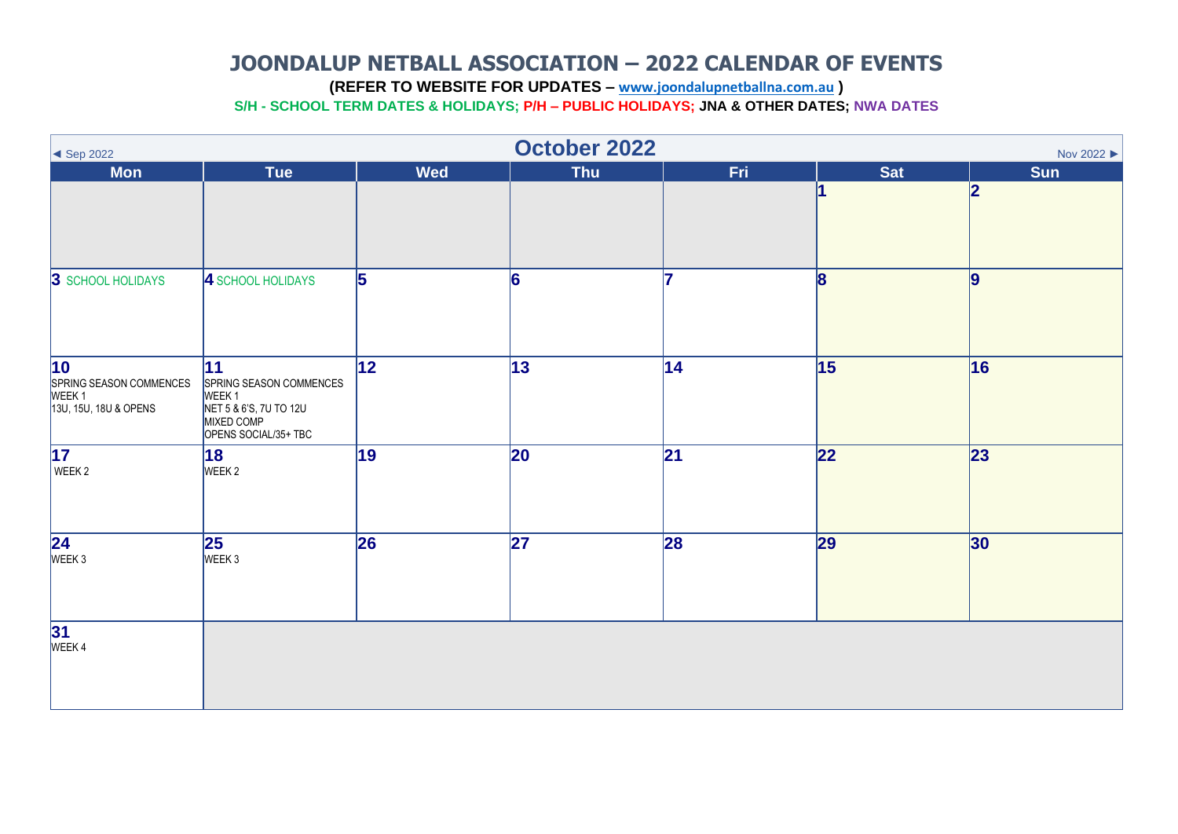<span id="page-9-0"></span>**(REFER TO WEBSITE FOR UPDATES – [www.joondalupnetballna.com.au](http://www.joondalupnetballna.com.au/) )**

| $\big\lvert \big\lvert$ Sep 2022                                                         | October 2022<br>Nov 2022 ▶                                                                                         |            |                 |                 |                         |                     |  |  |  |
|------------------------------------------------------------------------------------------|--------------------------------------------------------------------------------------------------------------------|------------|-----------------|-----------------|-------------------------|---------------------|--|--|--|
| <b>Mon</b>                                                                               | <b>Tue</b>                                                                                                         | <b>Wed</b> | Thu             | Fri.            | <b>Sat</b>              | Sun<br>$\mathbf{z}$ |  |  |  |
| 3 SCHOOL HOLIDAYS                                                                        | 4 SCHOOL HOLIDAYS                                                                                                  | 5          | 6               | 17              | $\overline{\mathbf{8}}$ | 9                   |  |  |  |
| $\overline{10}$<br>SPRING SEASON COMMENCES<br>WEEK <sub>1</sub><br>13U, 15U, 18U & OPENS | 11<br>SPRING SEASON COMMENCES<br>WEEK <sub>1</sub><br>NET 5 & 6'S, 7U TO 12U<br>MIXED COMP<br>OPENS SOCIAL/35+ TBC | 12         | $ 13\rangle$    | 14              | 15                      | 16                  |  |  |  |
| $\overline{17}$<br>WEEK 2                                                                | 18<br>WEEK 2                                                                                                       | 19         | 20              | $\overline{21}$ | $\overline{22}$         | $\overline{23}$     |  |  |  |
| $\overline{\begin{array}{c} 24 \\ \text{WEEK } 3 \end{array}}$                           | 25 <br>WEEK 3                                                                                                      | 26         | $\overline{27}$ | 28              | 29                      | 30                  |  |  |  |
| $31$<br>WEEK4                                                                            |                                                                                                                    |            |                 |                 |                         |                     |  |  |  |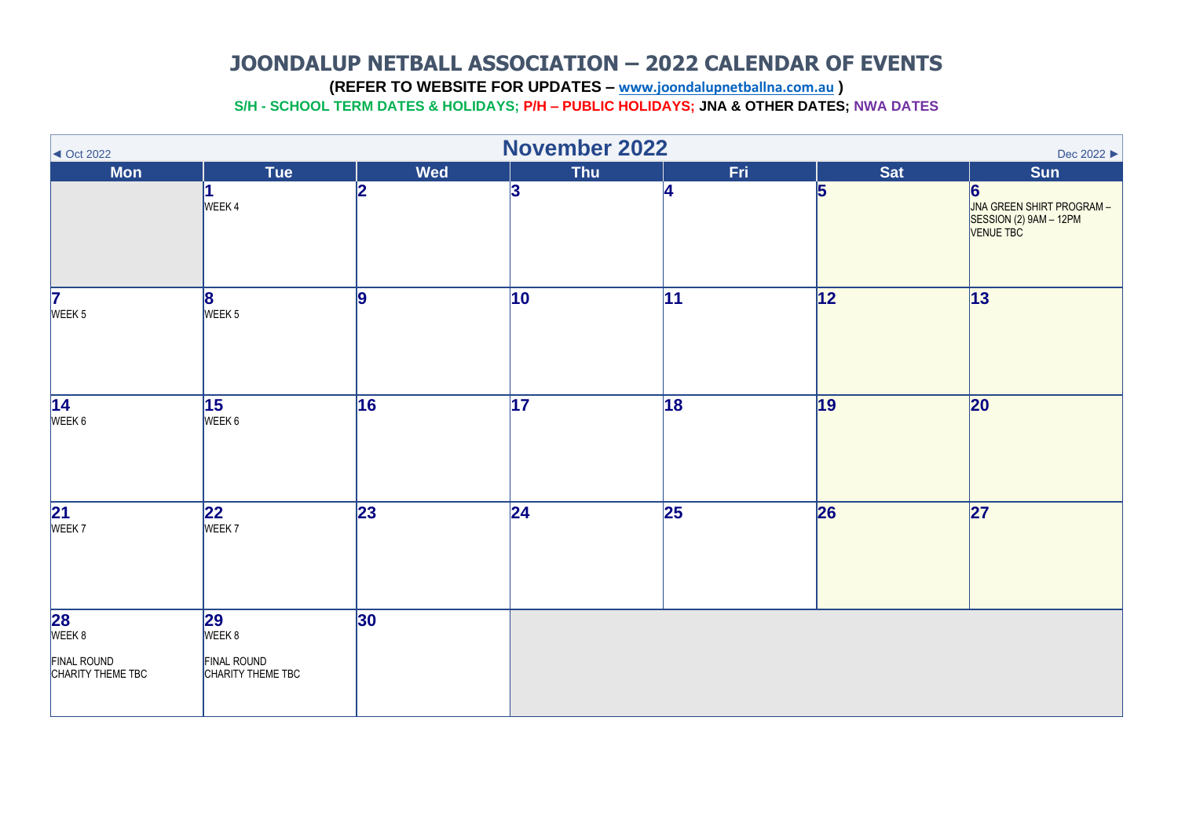<span id="page-10-0"></span>**(REFER TO WEBSITE FOR UPDATES – [www.joondalupnetballna.com.au](http://www.joondalupnetballna.com.au/) )**

| $\triangleleft$ Oct 2022                                       |                                                  |             | <b>November 2022</b> |                 |            | Dec 2022 ▶                                                            |
|----------------------------------------------------------------|--------------------------------------------------|-------------|----------------------|-----------------|------------|-----------------------------------------------------------------------|
| <b>Mon</b>                                                     | Tue                                              | <b>Wed</b>  | <b>Thu</b>           | Fri.            | <b>Sat</b> | <b>Sun</b>                                                            |
|                                                                | WEEK4                                            | 2           | 3                    | 4               | 5          | 6<br>JNA GREEN SHIRT PROGRAM -<br>SESSION (2) 9AM - 12PM<br>VENUE TBC |
| $\overline{\mathbf{7}}$<br>WEEK <sub>5</sub>                   | 8<br>WEEK <sub>5</sub>                           | l9          | 10                   | 11              | 12         | 13                                                                    |
| $\overline{14}$<br>WEEK 6                                      | 15 <br>WEEK 6                                    | 16          | $\overline{17}$      | 18              | 19         | 20                                                                    |
| $\overline{\frac{21}{\text{WEEK 7}}}$                          | $ 22\rangle$<br>WEEK 7                           | $\sqrt{23}$ | $\overline{24}$      | $\overline{25}$ | 26         | $\overline{27}$                                                       |
| <b>28</b><br>WEEK 8<br><b>FINAL ROUND</b><br>CHARITY THEME TBC | 29<br>WEEK 8<br>FINAL ROUND<br>CHARITY THEME TBC | 30          |                      |                 |            |                                                                       |